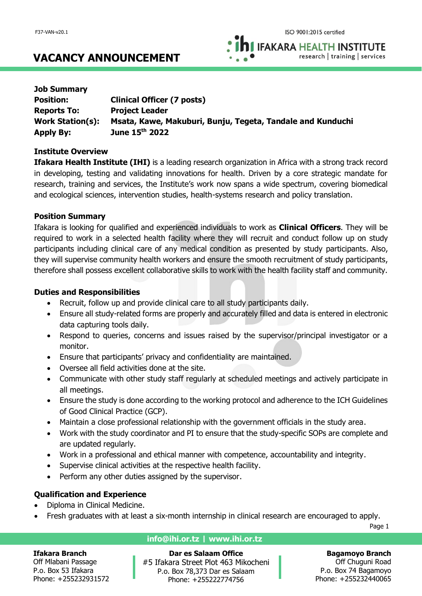**IFAKARA HEALTH INSTITUTE** research | training | services

| <b>Job Summary</b>      |                                                            |
|-------------------------|------------------------------------------------------------|
| <b>Position:</b>        | <b>Clinical Officer (7 posts)</b>                          |
| <b>Reports To:</b>      | <b>Project Leader</b>                                      |
| <b>Work Station(s):</b> | Msata, Kawe, Makuburi, Bunju, Tegeta, Tandale and Kunduchi |
| <b>Apply By:</b>        | June 15th 2022                                             |

### **Institute Overview**

**Ifakara Health Institute (IHI)** is a leading research organization in Africa with a strong track record in developing, testing and validating innovations for health. Driven by a core strategic mandate for research, training and services, the Institute's work now spans a wide spectrum, covering biomedical and ecological sciences, intervention studies, health-systems research and policy translation.

## **Position Summary**

Ifakara is looking for qualified and experienced individuals to work as **Clinical Officers**. They will be required to work in a selected health facility where they will recruit and conduct follow up on study participants including clinical care of any medical condition as presented by study participants. Also, they will supervise community health workers and ensure the smooth recruitment of study participants, therefore shall possess excellent collaborative skills to work with the health facility staff and community.

## **Duties and Responsibilities**

- Recruit, follow up and provide clinical care to all study participants daily.
- Ensure all study-related forms are properly and accurately filled and data is entered in electronic data capturing tools daily.
- Respond to queries, concerns and issues raised by the supervisor/principal investigator or a monitor.
- Ensure that participants' privacy and confidentiality are maintained.
- Oversee all field activities done at the site.
- Communicate with other study staff regularly at scheduled meetings and actively participate in all meetings.
- Ensure the study is done according to the working protocol and adherence to the ICH Guidelines of Good Clinical Practice (GCP).
- Maintain a close professional relationship with the government officials in the study area.
- Work with the study coordinator and PI to ensure that the study-specific SOPs are complete and are updated regularly.
- Work in a professional and ethical manner with competence, accountability and integrity.
- Supervise clinical activities at the respective health facility.
- Perform any other duties assigned by the supervisor.

# **Qualification and Experience**

- Diploma in Clinical Medicine.
- Fresh graduates with at least a six-month internship in clinical research are encouraged to apply.

Page 1

### **Ifakara Branch**

Off Mlabani Passage P.o. Box 53 Ifakara Phone: +255232931572

# **info@ihi.or.tz | www.ihi.or.tz**

**Dar es Salaam Office** #5 Ifakara Street Plot 463 Mikocheni P.o. Box 78,373 Dar es Salaam Phone: +255222774756

### **Bagamoyo Branch**

Off Chuguni Road P.o. Box 74 Bagamoyo Phone: +255232440065